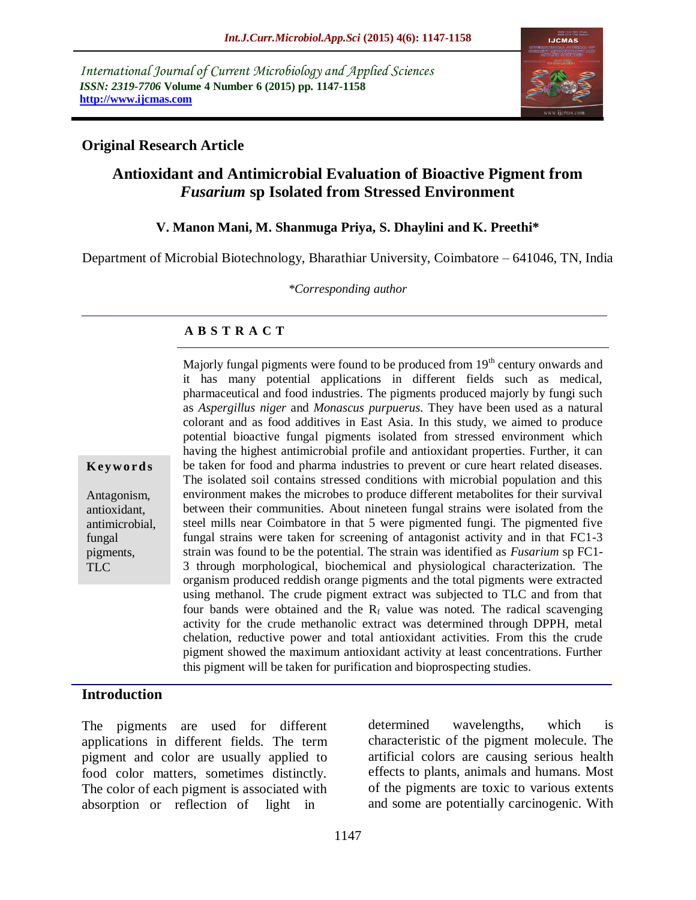*International Journal of Current Microbiology and Applied Sciences ISSN: 2319-7706* **Volume 4 Number 6 (2015) pp. 1147-1158 http://www.ijcmas.com** 



### **Original Research Article**

# **Antioxidant and Antimicrobial Evaluation of Bioactive Pigment from**  *Fusarium* **sp Isolated from Stressed Environment**

#### **V. Manon Mani, M. Shanmuga Priya, S. Dhaylini and K. Preethi\***

Department of Microbial Biotechnology, Bharathiar University, Coimbatore – 641046, TN, India

*\*Corresponding author*

### **A B S T R A C T**

**K ey w o rd s**

Antagonism, antioxidant, antimicrobial, fungal pigments, TLC

Majorly fungal pigments were found to be produced from  $19<sup>th</sup>$  century onwards and it has many potential applications in different fields such as medical, pharmaceutical and food industries. The pigments produced majorly by fungi such as *Aspergillus niger* and *Monascus purpuerus.* They have been used as a natural colorant and as food additives in East Asia. In this study, we aimed to produce potential bioactive fungal pigments isolated from stressed environment which having the highest antimicrobial profile and antioxidant properties. Further, it can be taken for food and pharma industries to prevent or cure heart related diseases. The isolated soil contains stressed conditions with microbial population and this environment makes the microbes to produce different metabolites for their survival between their communities. About nineteen fungal strains were isolated from the steel mills near Coimbatore in that 5 were pigmented fungi. The pigmented five fungal strains were taken for screening of antagonist activity and in that FC1-3 strain was found to be the potential. The strain was identified as *Fusarium* sp FC1- 3 through morphological, biochemical and physiological characterization. The organism produced reddish orange pigments and the total pigments were extracted using methanol. The crude pigment extract was subjected to TLC and from that four bands were obtained and the  $R_f$  value was noted. The radical scavenging activity for the crude methanolic extract was determined through DPPH, metal chelation, reductive power and total antioxidant activities. From this the crude pigment showed the maximum antioxidant activity at least concentrations. Further this pigment will be taken for purification and bioprospecting studies.

#### **Introduction**

The pigments are used for different applications in different fields. The term pigment and color are usually applied to food color matters, sometimes distinctly. The color of each pigment is associated with absorption or reflection of light in

determined wavelengths, which is characteristic of the pigment molecule. The artificial colors are causing serious health effects to plants, animals and humans. Most of the pigments are toxic to various extents and some are potentially carcinogenic. With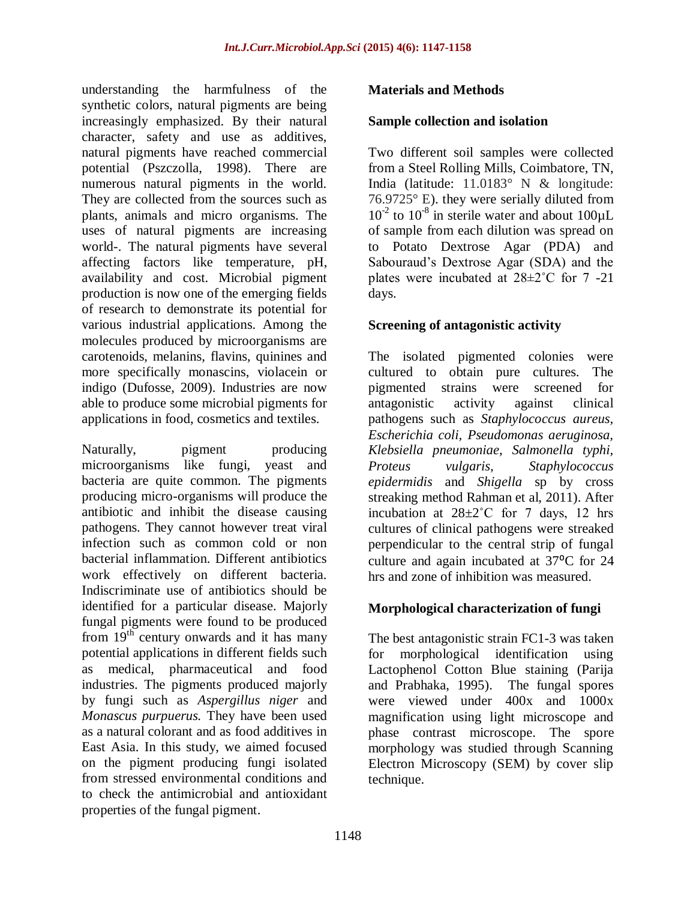understanding the harmfulness of the synthetic colors, natural pigments are being increasingly emphasized. By their natural character, safety and use as additives, natural pigments have reached commercial potential (Pszczolla, 1998). There are numerous natural pigments in the world. They are collected from the sources such as plants, animals and micro organisms. The uses of natural pigments are increasing world-. The natural pigments have several affecting factors like temperature, pH, availability and cost. Microbial pigment production is now one of the emerging fields of research to demonstrate its potential for various industrial applications. Among the molecules produced by microorganisms are carotenoids, melanins, flavins, quinines and more specifically monascins, violacein or indigo (Dufosse, 2009). Industries are now able to produce some microbial pigments for applications in food, cosmetics and textiles.

Naturally, pigment producing microorganisms like fungi, yeast and bacteria are quite common. The pigments producing micro-organisms will produce the antibiotic and inhibit the disease causing pathogens. They cannot however treat viral infection such as common cold or non bacterial inflammation. Different antibiotics work effectively on different bacteria. Indiscriminate use of antibiotics should be identified for a particular disease. Majorly fungal pigments were found to be produced from  $19<sup>th</sup>$  century onwards and it has many potential applications in different fields such as medical, pharmaceutical and food industries. The pigments produced majorly by fungi such as *Aspergillus niger* and *Monascus purpuerus.* They have been used as a natural colorant and as food additives in East Asia. In this study, we aimed focused on the pigment producing fungi isolated from stressed environmental conditions and to check the antimicrobial and antioxidant properties of the fungal pigment.

#### **Materials and Methods**

#### **Sample collection and isolation**

Two different soil samples were collected from a Steel Rolling Mills, Coimbatore, TN, India (latitude: 11.0183° N & longitude: 76.9725° E). they were serially diluted from  $10^{-2}$  to  $10^{-8}$  in sterile water and about  $100 \mu L$ of sample from each dilution was spread on to Potato Dextrose Agar (PDA) and Sabouraud's Dextrose Agar (SDA) and the plates were incubated at  $28 \pm 2^{\circ}$ C for 7 -21 days.

#### **Screening of antagonistic activity**

The isolated pigmented colonies were cultured to obtain pure cultures. The pigmented strains were screened for antagonistic activity against clinical pathogens such as *Staphylococcus aureus, Escherichia coli, Pseudomonas aeruginosa, Klebsiella pneumoniae*, *Salmonella typhi, Proteus vulgaris, Staphylococcus epidermidis* and *Shigella* sp by cross streaking method Rahman et al, 2011). After incubation at  $28 \pm 2^{\circ}$ C for 7 days, 12 hrs cultures of clinical pathogens were streaked perpendicular to the central strip of fungal culture and again incubated at 37<sup>o</sup>C for 24 hrs and zone of inhibition was measured.

#### **Morphological characterization of fungi**

The best antagonistic strain FC1-3 was taken for morphological identification using Lactophenol Cotton Blue staining (Parija and Prabhaka, 1995). The fungal spores were viewed under 400x and 1000x magnification using light microscope and phase contrast microscope. The spore morphology was studied through Scanning Electron Microscopy (SEM) by cover slip technique.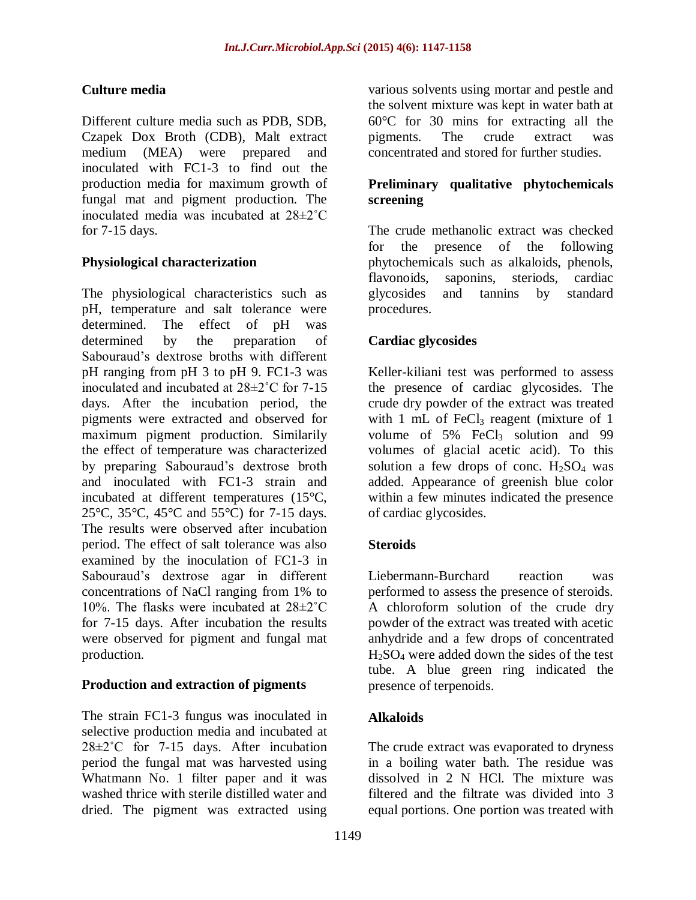## **Culture media**

Different culture media such as PDB, SDB, Czapek Dox Broth (CDB), Malt extract medium (MEA) were prepared and inoculated with FC1-3 to find out the production media for maximum growth of fungal mat and pigment production. The inoculated media was incubated at 28±2˚C for 7-15 days.

### **Physiological characterization**

The physiological characteristics such as pH, temperature and salt tolerance were<br>determined. The effect of  $nH$  was The effect of pH was determined by the preparation of Sabouraud's dextrose broths with different pH ranging from pH 3 to pH 9. FC1-3 was inoculated and incubated at 28±2˚C for 7-15 days. After the incubation period, the pigments were extracted and observed for maximum pigment production. Similarily the effect of temperature was characterized by preparing Sabouraud's dextrose broth and inoculated with FC1-3 strain and incubated at different temperatures (15°C, 25°C, 35°C, 45°C and 55°C) for 7-15 days. The results were observed after incubation period. The effect of salt tolerance was also examined by the inoculation of FC1-3 in Sabouraud's dextrose agar in different concentrations of NaCl ranging from 1% to 10%. The flasks were incubated at 28±2˚C for 7-15 days. After incubation the results were observed for pigment and fungal mat production.

### **Production and extraction of pigments**

The strain FC1-3 fungus was inoculated in selective production media and incubated at 28±2˚C for 7-15 days. After incubation period the fungal mat was harvested using Whatmann No. 1 filter paper and it was washed thrice with sterile distilled water and dried. The pigment was extracted using

various solvents using mortar and pestle and the solvent mixture was kept in water bath at 60°C for 30 mins for extracting all the pigments. The crude extract was concentrated and stored for further studies.

### **Preliminary qualitative phytochemicals screening**

The crude methanolic extract was checked for the presence of the following phytochemicals such as alkaloids, phenols, flavonoids, saponins, steriods, cardiac glycosides and tannins by standard procedures.

## **Cardiac glycosides**

Keller-kiliani test was performed to assess the presence of cardiac glycosides. The crude dry powder of the extract was treated with 1 mL of FeCl<sub>3</sub> reagent (mixture of 1) volume of  $5\%$  FeCl<sub>3</sub> solution and 99 volumes of glacial acetic acid). To this solution a few drops of conc.  $H_2SO_4$  was added. Appearance of greenish blue color within a few minutes indicated the presence of cardiac glycosides.

### **Steroids**

Liebermann-Burchard reaction was performed to assess the presence of steroids. A chloroform solution of the crude dry powder of the extract was treated with acetic anhydride and a few drops of concentrated H2SO<sup>4</sup> were added down the sides of the test tube. A blue green ring indicated the presence of terpenoids.

### **Alkaloids**

The crude extract was evaporated to dryness in a boiling water bath. The residue was dissolved in 2 N HCl. The mixture was filtered and the filtrate was divided into 3 equal portions. One portion was treated with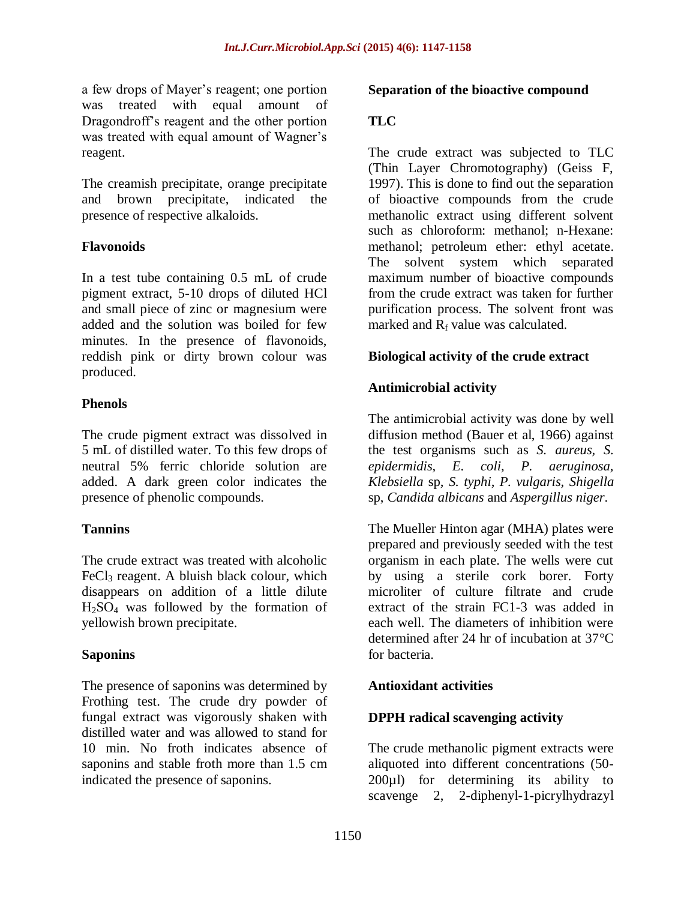a few drops of Mayer's reagent; one portion was treated with equal amount of Dragondroff's reagent and the other portion was treated with equal amount of Wagner's reagent.

The creamish precipitate, orange precipitate and brown precipitate, indicated the presence of respective alkaloids.

### **Flavonoids**

In a test tube containing 0.5 mL of crude pigment extract, 5-10 drops of diluted HCl and small piece of zinc or magnesium were added and the solution was boiled for few minutes. In the presence of flavonoids, reddish pink or dirty brown colour was produced.

### **Phenols**

The crude pigment extract was dissolved in 5 mL of distilled water. To this few drops of neutral 5% ferric chloride solution are added. A dark green color indicates the presence of phenolic compounds.

### **Tannins**

The crude extract was treated with alcoholic FeCl<sub>3</sub> reagent. A bluish black colour, which disappears on addition of a little dilute  $H<sub>2</sub>SO<sub>4</sub>$  was followed by the formation of yellowish brown precipitate.

### **Saponins**

The presence of saponins was determined by Frothing test. The crude dry powder of fungal extract was vigorously shaken with distilled water and was allowed to stand for 10 min. No froth indicates absence of saponins and stable froth more than 1.5 cm indicated the presence of saponins.

### **Separation of the bioactive compound**

## **TLC**

The crude extract was subjected to TLC (Thin Layer Chromotography) (Geiss F, 1997). This is done to find out the separation of bioactive compounds from the crude methanolic extract using different solvent such as chloroform: methanol; n-Hexane: methanol; petroleum ether: ethyl acetate. The solvent system which separated maximum number of bioactive compounds from the crude extract was taken for further purification process. The solvent front was marked and  $R_f$  value was calculated.

### **Biological activity of the crude extract**

## **Antimicrobial activity**

The antimicrobial activity was done by well diffusion method (Bauer et al, 1966) against the test organisms such as *S. aureus, S. epidermidis, E. coli, P. aeruginosa, Klebsiella* sp*, S. typhi, P. vulgaris, Shigella*  sp, *Candida albicans* and *Aspergillus niger*.

The Mueller Hinton agar (MHA) plates were prepared and previously seeded with the test organism in each plate. The wells were cut by using a sterile cork borer. Forty microliter of culture filtrate and crude extract of the strain FC1-3 was added in each well. The diameters of inhibition were determined after 24 hr of incubation at 37°C for bacteria.

## **Antioxidant activities**

### **DPPH radical scavenging activity**

The crude methanolic pigment extracts were aliquoted into different concentrations (50- 200µl) for determining its ability to scavenge 2, 2-diphenyl-1-picrylhydrazyl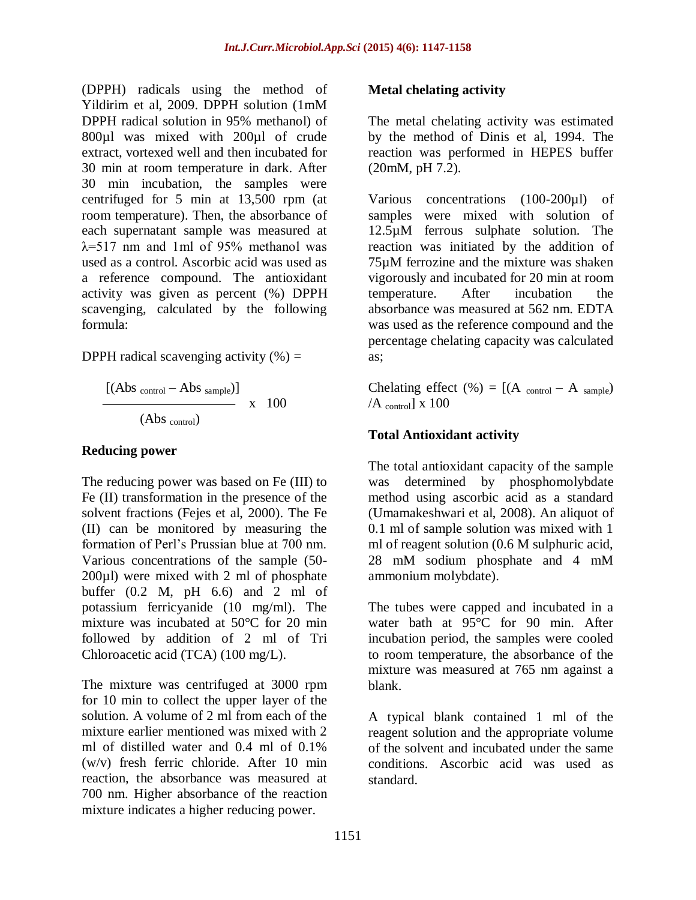(DPPH) radicals using the method of Yildirim et al, 2009. DPPH solution (1mM DPPH radical solution in 95% methanol) of 800µl was mixed with 200µl of crude extract, vortexed well and then incubated for 30 min at room temperature in dark. After 30 min incubation, the samples were centrifuged for 5 min at 13,500 rpm (at room temperature). Then, the absorbance of each supernatant sample was measured at  $\lambda$ =517 nm and 1ml of 95% methanol was used as a control. Ascorbic acid was used as a reference compound. The antioxidant activity was given as percent (%) DPPH scavenging, calculated by the following formula:

DPPH radical scavenging activity  $(\% )$  =

 $[(Abs_{control} - Abs_{sample})]$  $\sim$  x 100 (Abs control)

#### **Reducing power**

The reducing power was based on Fe (III) to Fe (II) transformation in the presence of the solvent fractions (Fejes et al, 2000). The Fe (II) can be monitored by measuring the formation of Perl's Prussian blue at 700 nm. Various concentrations of the sample (50- 200µl) were mixed with 2 ml of phosphate buffer (0.2 M, pH 6.6) and 2 ml of potassium ferricyanide (10 mg/ml). The mixture was incubated at 50°C for 20 min followed by addition of 2 ml of Tri Chloroacetic acid (TCA) (100 mg/L).

The mixture was centrifuged at 3000 rpm for 10 min to collect the upper layer of the solution. A volume of 2 ml from each of the mixture earlier mentioned was mixed with 2 ml of distilled water and 0.4 ml of 0.1% (w/v) fresh ferric chloride. After 10 min reaction, the absorbance was measured at 700 nm. Higher absorbance of the reaction mixture indicates a higher reducing power.

### **Metal chelating activity**

The metal chelating activity was estimated by the method of Dinis et al, 1994. The reaction was performed in HEPES buffer (20mM, pH 7.2).

Various concentrations (100-200µl) of samples were mixed with solution of 12.5µM ferrous sulphate solution. The reaction was initiated by the addition of 75µM ferrozine and the mixture was shaken vigorously and incubated for 20 min at room temperature. After incubation the absorbance was measured at 562 nm. EDTA was used as the reference compound and the percentage chelating capacity was calculated as;

Chelating effect (%) =  $[(A_{control} - A_{sample})$  $/A_{\text{control}}$  x 100

## **Total Antioxidant activity**

The total antioxidant capacity of the sample was determined by phosphomolybdate method using ascorbic acid as a standard (Umamakeshwari et al, 2008). An aliquot of 0.1 ml of sample solution was mixed with 1 ml of reagent solution (0.6 M sulphuric acid, 28 mM sodium phosphate and 4 mM ammonium molybdate).

The tubes were capped and incubated in a water bath at 95°C for 90 min. After incubation period, the samples were cooled to room temperature, the absorbance of the mixture was measured at 765 nm against a blank.

A typical blank contained 1 ml of the reagent solution and the appropriate volume of the solvent and incubated under the same conditions. Ascorbic acid was used as standard.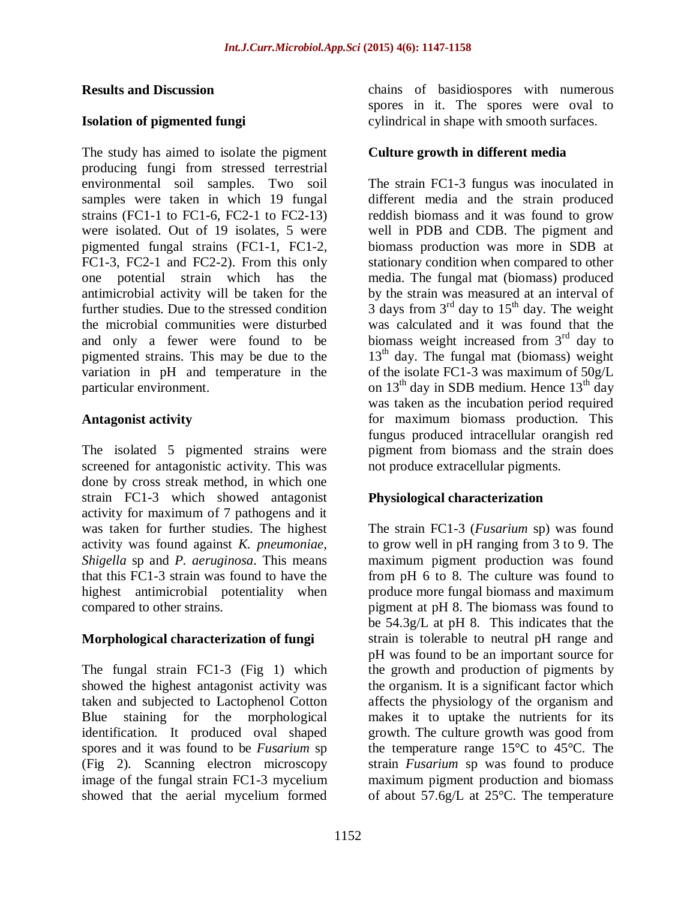#### **Results and Discussion**

### **Isolation of pigmented fungi**

The study has aimed to isolate the pigment producing fungi from stressed terrestrial environmental soil samples. Two soil samples were taken in which 19 fungal strains (FC1-1 to FC1-6, FC2-1 to FC2-13) were isolated. Out of 19 isolates, 5 were pigmented fungal strains (FC1-1, FC1-2, FC1-3, FC2-1 and FC2-2). From this only one potential strain which has the antimicrobial activity will be taken for the further studies. Due to the stressed condition the microbial communities were disturbed and only a fewer were found to be pigmented strains. This may be due to the variation in pH and temperature in the particular environment.

### **Antagonist activity**

The isolated 5 pigmented strains were screened for antagonistic activity. This was done by cross streak method, in which one strain FC1-3 which showed antagonist activity for maximum of 7 pathogens and it was taken for further studies. The highest activity was found against *K. pneumoniae, Shigella* sp and *P. aeruginosa*. This means that this FC1-3 strain was found to have the highest antimicrobial potentiality when compared to other strains.

## **Morphological characterization of fungi**

The fungal strain FC1-3 (Fig 1) which showed the highest antagonist activity was taken and subjected to Lactophenol Cotton Blue staining for the morphological identification. It produced oval shaped spores and it was found to be *Fusarium* sp (Fig 2)*.* Scanning electron microscopy image of the fungal strain FC1-3 mycelium showed that the aerial mycelium formed

chains of basidiospores with numerous spores in it. The spores were oval to cylindrical in shape with smooth surfaces.

### **Culture growth in different media**

The strain FC1-3 fungus was inoculated in different media and the strain produced reddish biomass and it was found to grow well in PDB and CDB. The pigment and biomass production was more in SDB at stationary condition when compared to other media. The fungal mat (biomass) produced by the strain was measured at an interval of  $3$  days from  $3<sup>rd</sup>$  day to  $15<sup>th</sup>$  day. The weight was calculated and it was found that the biomass weight increased from  $3<sup>rd</sup>$  day to  $13<sup>th</sup>$  day. The fungal mat (biomass) weight of the isolate FC1-3 was maximum of 50g/L on  $13<sup>th</sup>$  day in SDB medium. Hence  $13<sup>th</sup>$  day was taken as the incubation period required for maximum biomass production. This fungus produced intracellular orangish red pigment from biomass and the strain does not produce extracellular pigments.

### **Physiological characterization**

The strain FC1-3 (*Fusarium* sp) was found to grow well in pH ranging from 3 to 9. The maximum pigment production was found from pH 6 to 8. The culture was found to produce more fungal biomass and maximum pigment at pH 8. The biomass was found to be 54.3g/L at pH 8. This indicates that the strain is tolerable to neutral pH range and pH was found to be an important source for the growth and production of pigments by the organism. It is a significant factor which affects the physiology of the organism and makes it to uptake the nutrients for its growth. The culture growth was good from the temperature range 15°C to 45°C. The strain *Fusarium* sp was found to produce maximum pigment production and biomass of about 57.6g/L at 25°C. The temperature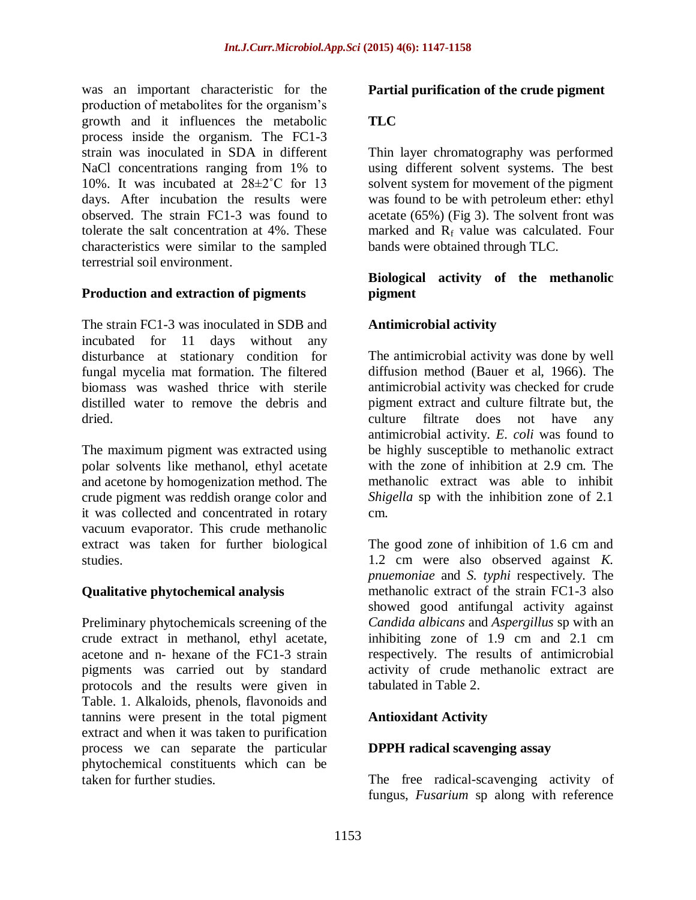was an important characteristic for the production of metabolites for the organism's growth and it influences the metabolic process inside the organism. The FC1-3 strain was inoculated in SDA in different NaCl concentrations ranging from 1% to 10%. It was incubated at 28±2˚C for 13 days. After incubation the results were observed. The strain FC1-3 was found to tolerate the salt concentration at 4%. These characteristics were similar to the sampled terrestrial soil environment.

### **Production and extraction of pigments**

The strain FC1-3 was inoculated in SDB and incubated for 11 days without any disturbance at stationary condition for fungal mycelia mat formation. The filtered biomass was washed thrice with sterile distilled water to remove the debris and dried.

The maximum pigment was extracted using polar solvents like methanol, ethyl acetate and acetone by homogenization method. The crude pigment was reddish orange color and it was collected and concentrated in rotary vacuum evaporator. This crude methanolic extract was taken for further biological studies.

### **Qualitative phytochemical analysis**

Preliminary phytochemicals screening of the crude extract in methanol, ethyl acetate, acetone and n- hexane of the FC1-3 strain pigments was carried out by standard protocols and the results were given in Table. 1. Alkaloids, phenols, flavonoids and tannins were present in the total pigment extract and when it was taken to purification process we can separate the particular phytochemical constituents which can be taken for further studies.

### **Partial purification of the crude pigment**

## **TLC**

Thin layer chromatography was performed using different solvent systems. The best solvent system for movement of the pigment was found to be with petroleum ether: ethyl acetate (65%) (Fig 3). The solvent front was marked and  $R_f$  value was calculated. Four bands were obtained through TLC.

### **Biological activity of the methanolic pigment**

### **Antimicrobial activity**

The antimicrobial activity was done by well diffusion method (Bauer et al*,* 1966). The antimicrobial activity was checked for crude pigment extract and culture filtrate but, the culture filtrate does not have any antimicrobial activity. *E. coli* was found to be highly susceptible to methanolic extract with the zone of inhibition at 2.9 cm. The methanolic extract was able to inhibit *Shigella* sp with the inhibition zone of 2.1 cm.

The good zone of inhibition of 1.6 cm and 1.2 cm were also observed against *K. pnuemoniae* and *S. typhi* respectively*.* The methanolic extract of the strain FC1-3 also showed good antifungal activity against *Candida albicans* and *Aspergillus* sp with an inhibiting zone of 1.9 cm and 2.1 cm respectively. The results of antimicrobial activity of crude methanolic extract are tabulated in Table 2.

### **Antioxidant Activity**

### **DPPH radical scavenging assay**

The free radical-scavenging activity of fungus, *Fusarium* sp along with reference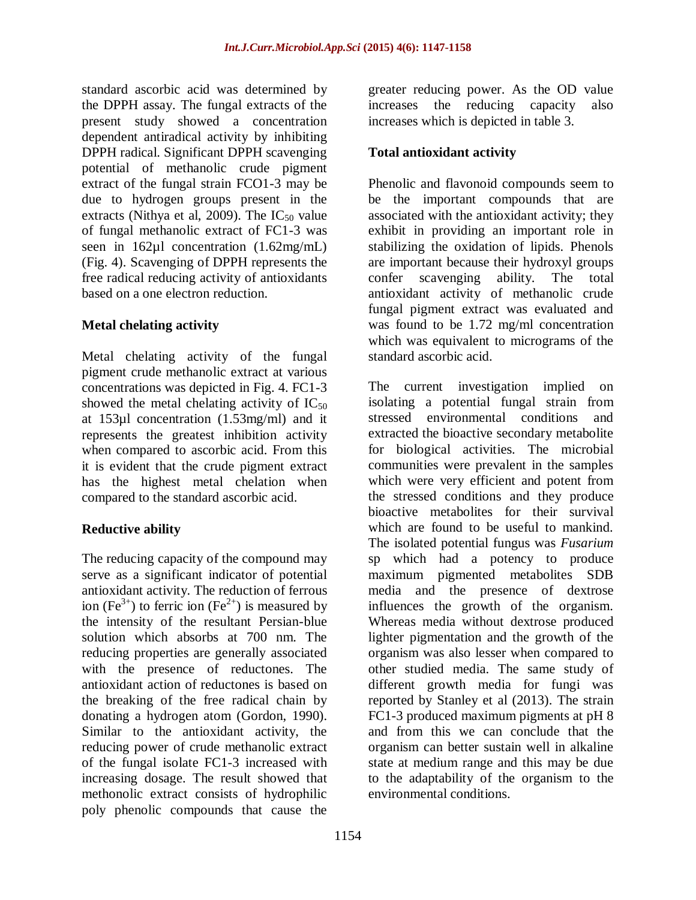standard ascorbic acid was determined by the DPPH assay. The fungal extracts of the present study showed a concentration dependent antiradical activity by inhibiting DPPH radical. Significant DPPH scavenging potential of methanolic crude pigment extract of the fungal strain FCO1-3 may be due to hydrogen groups present in the extracts (Nithya et al, 2009). The  $IC_{50}$  value of fungal methanolic extract of FC1-3 was seen in 162µl concentration (1.62mg/mL) (Fig. 4). Scavenging of DPPH represents the free radical reducing activity of antioxidants based on a one electron reduction.

### **Metal chelating activity**

Metal chelating activity of the fungal pigment crude methanolic extract at various concentrations was depicted in Fig. 4. FC1-3 showed the metal chelating activity of  $IC_{50}$ at 153µl concentration (1.53mg/ml) and it represents the greatest inhibition activity when compared to ascorbic acid. From this it is evident that the crude pigment extract has the highest metal chelation when compared to the standard ascorbic acid.

### **Reductive ability**

The reducing capacity of the compound may serve as a significant indicator of potential antioxidant activity. The reduction of ferrous ion (Fe<sup>3+</sup>) to ferric ion (Fe<sup>2+</sup>) is measured by the intensity of the resultant Persian-blue solution which absorbs at 700 nm. The reducing properties are generally associated with the presence of reductones. The antioxidant action of reductones is based on the breaking of the free radical chain by donating a hydrogen atom (Gordon, 1990). Similar to the antioxidant activity, the reducing power of crude methanolic extract of the fungal isolate FC1-3 increased with increasing dosage. The result showed that methonolic extract consists of hydrophilic poly phenolic compounds that cause the

greater reducing power. As the OD value increases the reducing capacity also increases which is depicted in table 3.

### **Total antioxidant activity**

Phenolic and flavonoid compounds seem to be the important compounds that are associated with the antioxidant activity; they exhibit in providing an important role in stabilizing the oxidation of lipids. Phenols are important because their hydroxyl groups confer scavenging ability. The total antioxidant activity of methanolic crude fungal pigment extract was evaluated and was found to be 1.72 mg/ml concentration which was equivalent to micrograms of the standard ascorbic acid.

The current investigation implied on isolating a potential fungal strain from stressed environmental conditions and extracted the bioactive secondary metabolite for biological activities. The microbial communities were prevalent in the samples which were very efficient and potent from the stressed conditions and they produce bioactive metabolites for their survival which are found to be useful to mankind. The isolated potential fungus was *Fusarium*  sp which had a potency to produce maximum pigmented metabolites SDB media and the presence of dextrose influences the growth of the organism. Whereas media without dextrose produced lighter pigmentation and the growth of the organism was also lesser when compared to other studied media. The same study of different growth media for fungi was reported by Stanley et al (2013). The strain FC1-3 produced maximum pigments at pH 8 and from this we can conclude that the organism can better sustain well in alkaline state at medium range and this may be due to the adaptability of the organism to the environmental conditions.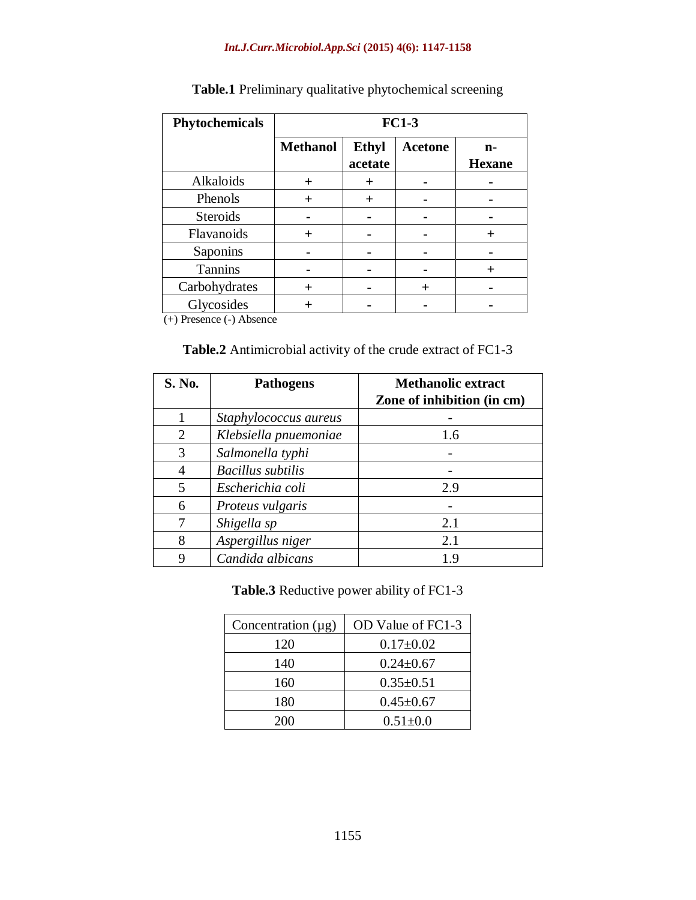#### *Int.J.Curr.Microbiol.App.Sci* **(2015) 4(6): 1147-1158**

| Phytochemicals  | $FC1-3$         |                         |                |                     |
|-----------------|-----------------|-------------------------|----------------|---------------------|
|                 | <b>Methanol</b> | <b>Ethyl</b><br>acetate | <b>Acetone</b> | n-<br><b>Hexane</b> |
| Alkaloids       | $\pm$           | $\pm$                   |                |                     |
| Phenols         | $\pm$           | $\pm$                   |                |                     |
| <b>Steroids</b> |                 |                         |                |                     |
| Flavanoids      | $\pm$           |                         |                | $\pm$               |
| Saponins        |                 |                         |                |                     |
| Tannins         |                 |                         |                | $\pm$               |
| Carbohydrates   | $\pm$           |                         | $^{+}$         |                     |
| Glycosides<br>. |                 |                         |                |                     |

## **Table.1** Preliminary qualitative phytochemical screening

(+) Presence (-) Absence

### **Table.2** Antimicrobial activity of the crude extract of FC1-3

| S. No. | <b>Pathogens</b>         | <b>Methanolic extract</b><br>Zone of inhibition (in cm) |
|--------|--------------------------|---------------------------------------------------------|
|        |                          |                                                         |
|        | Staphylococcus aureus    |                                                         |
| 2      | Klebsiella pnuemoniae    | 1.6                                                     |
| 3      | Salmonella typhi         |                                                         |
| 4      | <b>Bacillus</b> subtilis |                                                         |
| 5      | Escherichia coli         | 2.9                                                     |
| 6      | Proteus vulgaris         |                                                         |
|        | Shigella sp              | 2.1                                                     |
| 8      | Aspergillus niger        | 2.1                                                     |
|        | Candida albicans         | 19                                                      |

**Table.3** Reductive power ability of FC1-3

| Concentration $(\mu g)$ | OD Value of FC1-3 |  |
|-------------------------|-------------------|--|
| 120                     | $0.17 \pm 0.02$   |  |
| 140                     | $0.24 \pm 0.67$   |  |
| 160                     | $0.35 \pm 0.51$   |  |
| 180                     | $0.45 \pm 0.67$   |  |
| 200                     | $0.51 \pm 0.0$    |  |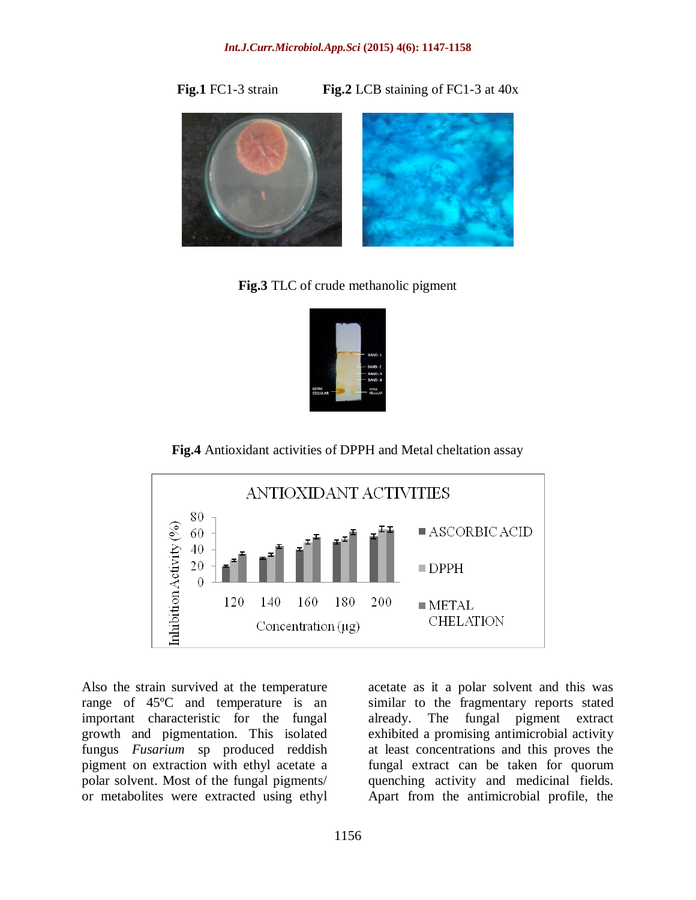**Fig.1** FC1-3 strain **Fig.2** LCB staining of FC1-3 at 40x



**Fig.3** TLC of crude methanolic pigment



**Fig.4** Antioxidant activities of DPPH and Metal cheltation assay



Also the strain survived at the temperature range of 45ºC and temperature is an important characteristic for the fungal growth and pigmentation. This isolated fungus *Fusarium* sp produced reddish pigment on extraction with ethyl acetate a polar solvent. Most of the fungal pigments/ or metabolites were extracted using ethyl

acetate as it a polar solvent and this was similar to the fragmentary reports stated already. The fungal pigment extract exhibited a promising antimicrobial activity at least concentrations and this proves the fungal extract can be taken for quorum quenching activity and medicinal fields. Apart from the antimicrobial profile, the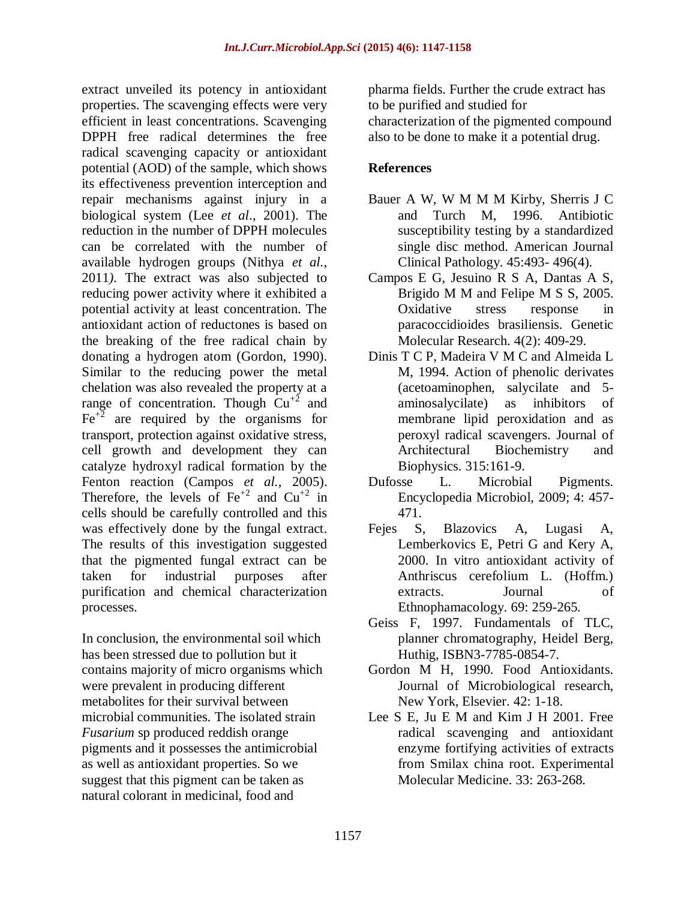extract unveiled its potency in antioxidant properties. The scavenging effects were very efficient in least concentrations. Scavenging DPPH free radical determines the free radical scavenging capacity or antioxidant potential (AOD) of the sample, which shows its effectiveness prevention interception and repair mechanisms against injury in a biological system (Lee *et al*., 2001). The reduction in the number of DPPH molecules can be correlated with the number of available hydrogen groups (Nithya *et al.,*  2011*).* The extract was also subjected to reducing power activity where it exhibited a potential activity at least concentration. The antioxidant action of reductones is based on the breaking of the free radical chain by donating a hydrogen atom (Gordon, 1990). Similar to the reducing power the metal chelation was also revealed the property at a range of concentration. Though  $Cu^{2}$  and  $Fe<sup>+2</sup>$  are required by the organisms for transport, protection against oxidative stress, cell growth and development they can catalyze hydroxyl radical formation by the Fenton reaction (Campos *et al.,* 2005). Therefore, the levels of  $Fe^{+2}$  and  $Cu^{+2}$  in cells should be carefully controlled and this was effectively done by the fungal extract. The results of this investigation suggested that the pigmented fungal extract can be taken for industrial purposes after purification and chemical characterization processes.

In conclusion, the environmental soil which has been stressed due to pollution but it contains majority of micro organisms which were prevalent in producing different metabolites for their survival between microbial communities*.* The isolated strain *Fusarium* sp produced reddish orange pigments and it possesses the antimicrobial as well as antioxidant properties. So we suggest that this pigment can be taken as natural colorant in medicinal, food and

pharma fields. Further the crude extract has to be purified and studied for characterization of the pigmented compound also to be done to make it a potential drug.

### **References**

- Bauer A W, W M M M Kirby, Sherris J C and Turch M, 1996. Antibiotic susceptibility testing by a standardized single disc method. American Journal Clinical Pathology. 45:493- 496(4).
- Campos E G, Jesuino R S A, Dantas A S, Brigido M M and Felipe M S S, 2005. Oxidative stress response in paracoccidioides brasiliensis. Genetic Molecular Research. 4(2): 409-29.
- Dinis T C P, Madeira V M C and Almeida L M, 1994. Action of phenolic derivates (acetoaminophen, salycilate and 5 aminosalycilate) as inhibitors of membrane lipid peroxidation and as peroxyl radical scavengers. Journal of Architectural Biochemistry and Biophysics. 315:161-9.
- Dufosse L. Microbial Pigments. Encyclopedia Microbiol, 2009; 4: 457- 471.
- Fejes S, Blazovics A, Lugasi A, Lemberkovics E, Petri G and Kery A, 2000. In vitro antioxidant activity of Anthriscus cerefolium L. (Hoffm.) extracts. Journal of Ethnophamacology. 69: 259-265.
- Geiss F, 1997. Fundamentals of TLC, planner chromatography, Heidel Berg, Huthig, ISBN3-7785-0854-7.
- Gordon M H, 1990. Food Antioxidants. Journal of Microbiological research, New York, Elsevier. 42: 1-18.
- Lee S E, Ju E M and Kim J H 2001. Free radical scavenging and antioxidant enzyme fortifying activities of extracts from Smilax china root. Experimental Molecular Medicine. 33: 263-268.